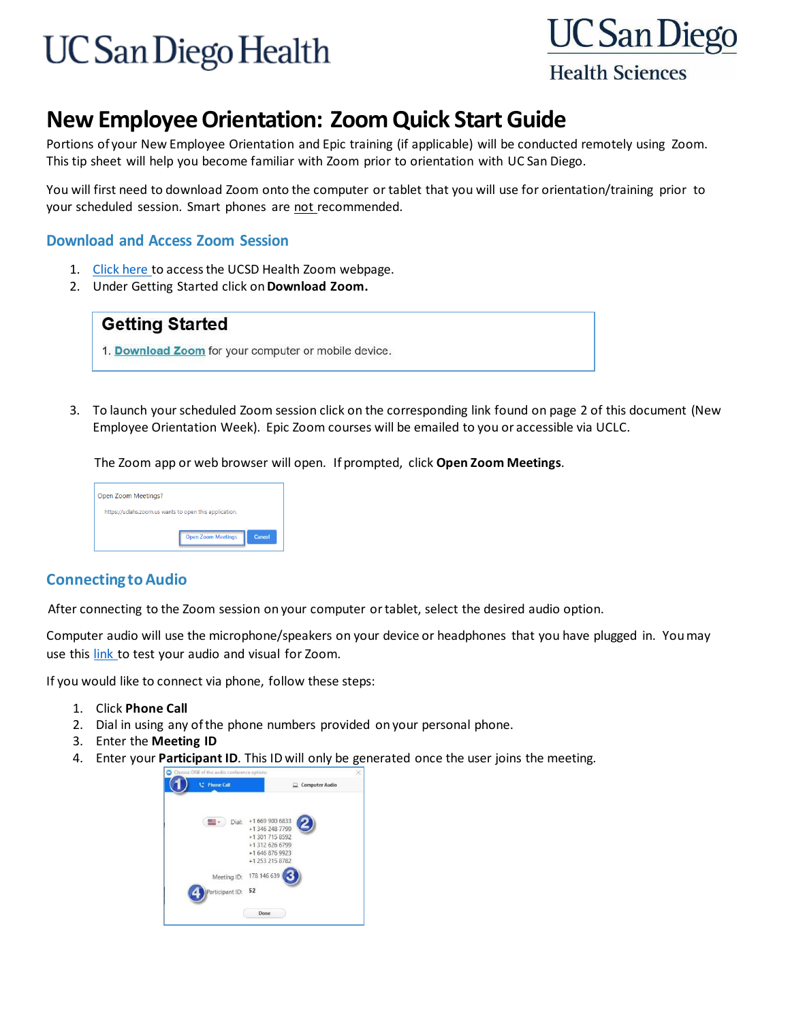# **UC San Diego Health**



### **New EmployeeOrientation: ZoomQuick Start Guide**

Portions of your New Employee Orientation and Epic training (if applicable) will be conducted remotely using Zoom. This tip sheet will help you become familiar with Zoom prior to orientation with UC San Diego.

You will first need to download Zoom onto the computer or tablet that you will use for orientation/training prior to your scheduled session. Smart phones are not recommended.

#### **Download and Access Zoom Session**

- 1. [Click](https://blink.ucsd.edu/technology/file-sharing/zoom/index.html) here to access the UCSD Health Zoom webpage.
- 2. Under Getting Started click on**Download Zoom.**



3. To launch your scheduled Zoom session click on the corresponding link found on page 2 of this document (New Employee Orientation Week). Epic Zoom courses will be emailed to you or accessible via UCLC.

The Zoom app or web browser will open. If prompted, click **Open Zoom Meetings**.

| Open Zoom Meetings?                                    |        |
|--------------------------------------------------------|--------|
| https://uclahs.zoom.us wants to open this application. |        |
| <b>Open Zoom Meetings</b>                              | Cancel |

#### **ConnectingtoAudio**

After connecting to the Zoom session on your computer ortablet, select the desired audio option.

Computer audio will use the microphone/speakers on your device or headphones that you have plugged in. Youmay use this [link](https://zoom.us/test) to test your audio and visual for Zoom.

If you would like to connect via phone, follow these steps:

- 1. Click **Phone Call**
- 2. Dial in using any ofthe phone numbers provided on your personal phone.
- 3. Enter the **Meeting ID**
- 4. Enter your **Participant ID**. This ID will only be generated once the user joins the meeting.